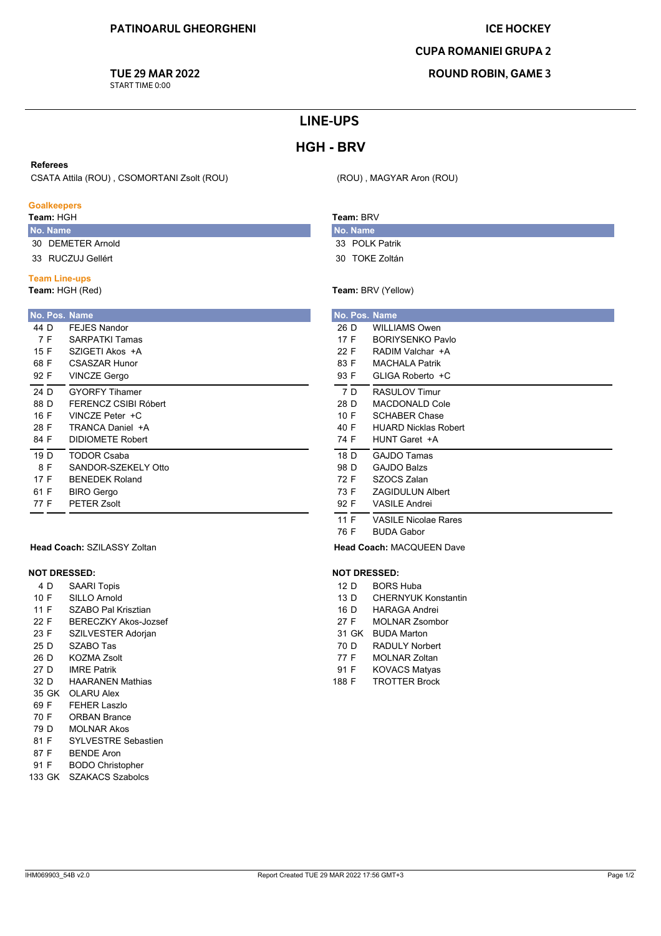## **ICE HOCKEY**

## **CUPA ROMANIEI GRUPA 2**

**ROUND ROBIN, GAME 3** 

## **TUE 29 MAR 2022**

START TIME 0:00

## **LINE-UPS**

# **HGH - BRV**

### **Referees**

CSATA Attila (ROU), CSOMORTANI Zsolt (ROU)

### **Goalkeepers**

Team: HGH

- No. Name 30 DEMETER Arnold
- 33 RUCZUJ Gellért

### **Team Line-ups**

Team: HGH (Red)

| No. Pos. Name |                       |  |  |
|---------------|-----------------------|--|--|
| 44 D          | FFJFS Nandor          |  |  |
| 7 F           | <b>SARPATKI Tamas</b> |  |  |
| 15 F          | SZIGETI Akos +A       |  |  |
| 68 F          | CSASZAR Hunor         |  |  |
| 92 F          | <b>VINCZE Gergo</b>   |  |  |
| 24 D          | <b>GYORFY Tihamer</b> |  |  |
| 88 D          | FFRENCZ CSIBI Róbert  |  |  |
| 16 F          | VINCZE Peter +C       |  |  |
| 28 F          | TRANCA Daniel +A      |  |  |
| 84 F          | DIDIOMETE Robert      |  |  |
| 19 D          | <b>TODOR Csaba</b>    |  |  |
| 8 F           | SANDOR-SZEKELY Otto   |  |  |
| 17 F          | <b>BENEDEK Roland</b> |  |  |
| 61 F          | <b>BIRO Gergo</b>     |  |  |
| 77 F          | <b>PETER Zsolt</b>    |  |  |

## Team: RRV

No. Name 33 POLK Patrik

(ROU), MAGYAR Aron (ROU)

30 TOKE Zoltán

Team: BRV (Yellow)

|      |     | No. Pos. Name               |
|------|-----|-----------------------------|
| 26 D |     | WILLIAMS Owen               |
| 17 F |     | <b>BORIYSENKO Pavlo</b>     |
| 22 F |     | RADIM Valchar +A            |
| 83 F |     | <b>MACHALA Patrik</b>       |
| 93 F |     | GLIGA Roberto +C            |
|      | 7 D | <b>RASULOV Timur</b>        |
| 28 D |     | <b>MACDONALD Cole</b>       |
| 10 F |     | <b>SCHABER Chase</b>        |
| 40 F |     | <b>HUARD Nicklas Robert</b> |
| 74 F |     | HUNT Garet +A               |
| 18 D |     | <b>GAJDO Tamas</b>          |
| 98 D |     | <b>GAJDO Balzs</b>          |
| 72 F |     | SZOCS Zalan                 |
| 73 F |     | <b>ZAGIDULUN Albert</b>     |
| 92 F |     | <b>VASILE Andrei</b>        |
| 11 F |     | <b>VASILE Nicolae Rares</b> |
| 76 F |     | <b>BUDA Gabor</b>           |

Head Coach: MACQUEEN Dave

#### **NOT DRESSED:**  $0000114$

| 12 D | <b>BORS Huba</b>           |
|------|----------------------------|
| 13 D | <b>CHERNYUK Konstantin</b> |

- **HARAGA Andrei** 16 D
- **MOLNAR Zsombor**  $27 F$
- 31 GK BUDA Marton
- 70 D **RADULY Norbert**
- 77 F MOLNAR Zoltan
- **KOVACS Matyas** 91 F
- 188 F **TROTTER Brock**

| <b>Head Coach: SZILASSY Zoltan</b> |
|------------------------------------|
|                                    |

#### **NOT DRESSED:**

| <b>SAARI Topis</b><br>4 D |  |
|---------------------------|--|
|---------------------------|--|

- SILLO Arnold  $10 F$
- SZABO Pal Krisztian 11 F
- $22 F$ **BERECZKY Akos-Jozsef**
- 23 F SZILVESTER Adorian
- 25 D SZABO Tas
- **KOZMA Zsolt** 26 D
- $27<sub>D</sub>$ **IMRF Patrik**
- **HAARANEN Mathias** 32 D 35 GK OLARU Alex
- 69 F **FEHER Laszlo**
- 70 F **ORBAN Brance**
- 79 D **MOLNAR Akos**
- SYLVESTRE Sebastien 81 F
- 87 F **BENDE Aron**
- **BODO Christopher** 91 F
- 133 GK SZAKACS Szabolcs